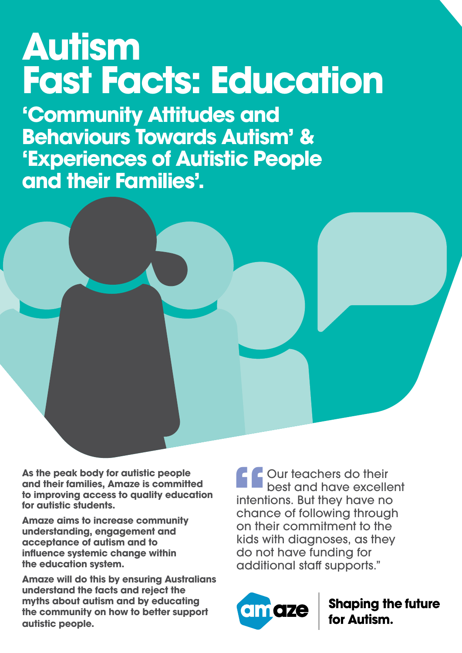# **Autism Fast Facts: Education**

**'Community Attitudes and Behaviours Towards Autism' & 'Experiences of Autistic People and their Families'.**



**As the peak body for autistic people and their families, Amaze is committed to improving access to quality education for autistic students.** 

**Amaze aims to increase community understanding, engagement and acceptance of autism and to influence systemic change within the education system.** 

**Amaze will do this by ensuring Australians understand the facts and reject the myths about autism and by educating the community on how to better support autistic people.** 

**FC** Our teachers do their<br>
best and have excelle<br>
intentions. But they have no<br>
chance of following throug<br>
on their commitment to the best and have excellent intentions. But they have no chance of following through on their commitment to the kids with diagnoses, as they do not have funding for additional staff supports."



**Shaping the future<br>for Autism.**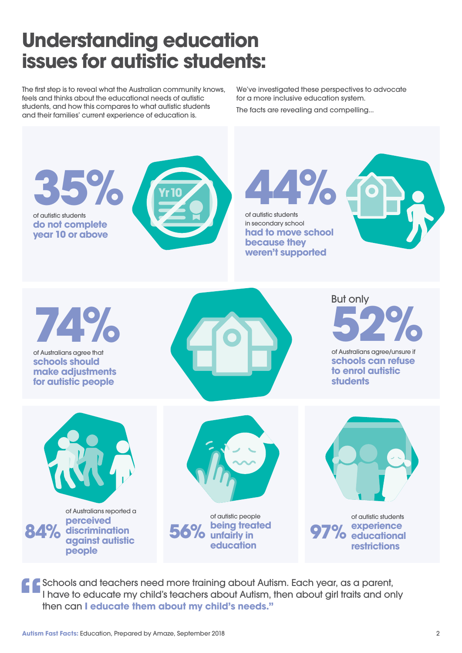# **Understanding education issues for autistic students:**

The first step is to reveal what the Australian community knows, feels and thinks about the educational needs of autistic students, and how this compares to what autistic students and their families' current experience of education is.

We've investigated these perspectives to advocate for a more inclusive education system.

The facts are revealing and compelling...

**84%** of Australians reported a **perceived discrimination against autistic people 56% unfairly in**  of autistic people **being treated education 97% educational**  of autistic students **experience restrictions 35%**  of autistic students **do not complete year 10 or above 44%**  of autistic students in secondary school **had to move school because they weren't supported 74%**  of Australians agree that **schools should make adjustments for autistic people 52%**  of Australians agree/unsure if **schools can refuse to enrol autistic students** But only

**"** Schools and teachers need more training about Autism. Each year, as a parent, I have to educate my child's teachers about Autism, then about girl traits and only then can **I educate them about my child's needs."**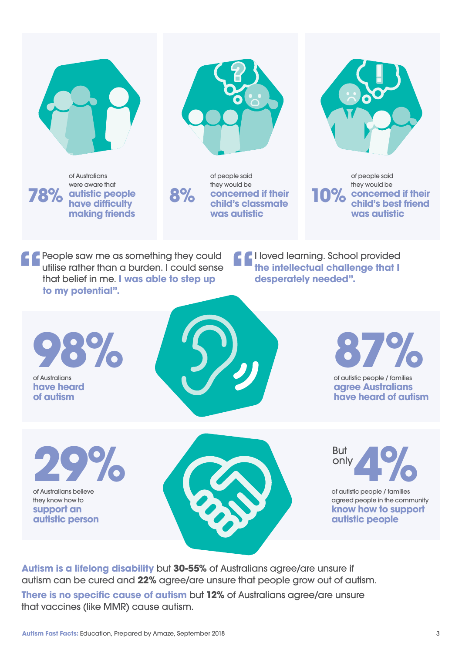





**78% autistic people**  of Australians were aware that **have difficulty making friends**

**8%**

of people said they would be **concerned if their child's classmate was autistic**

**10% concerned if their**  of people said they would be **child's best friend was autistic**

**People saw me as something they could<br>
utilise rather than a burden. I could sense<br>
that belief in me. I was able to step up<br>
to my potential".** utilise rather than a burden. I could sense that belief in me. **I was able to step up to my potential".**

**f** loved learning. School provided<br>
the intellectual challenge that I<br>
desperately needed". **the intellectual challenge that I desperately needed".**







of autistic people / families **agree Australians have heard of autism**

**29%**  of Australians believe they know how to **support an autistic person**



**But** only **4% and But** only

of autistic people / families agreed people in the community **know how to support autistic people**

**Autism is a lifelong disability** but **30-55%** of Australians agree/are unsure if autism can be cured and **22%** agree/are unsure that people grow out of autism. **There is no specific cause of autism** but **12%** of Australians agree/are unsure that vaccines (like MMR) cause autism.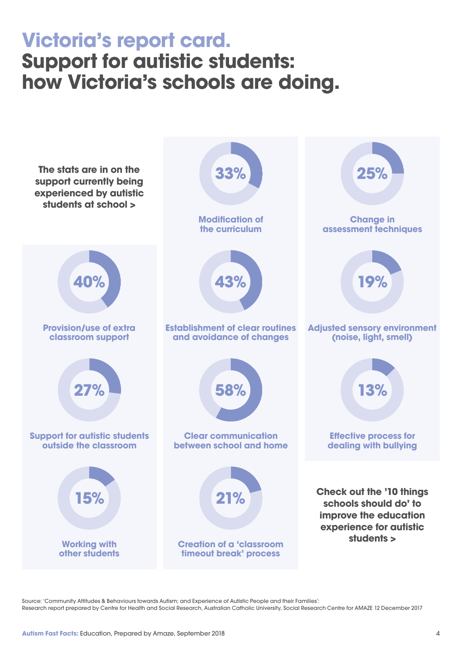# **Victoria's report card. Support for autistic students: how Victoria's schools are doing.**



Source: 'Community Attitudes & Behaviours towards Autism; and Experience of Autistic People and their Families':

Research report prepared by Centre for Health and Social Research, Australian Catholic University, Social Research Centre for AMAZE 12 December 2017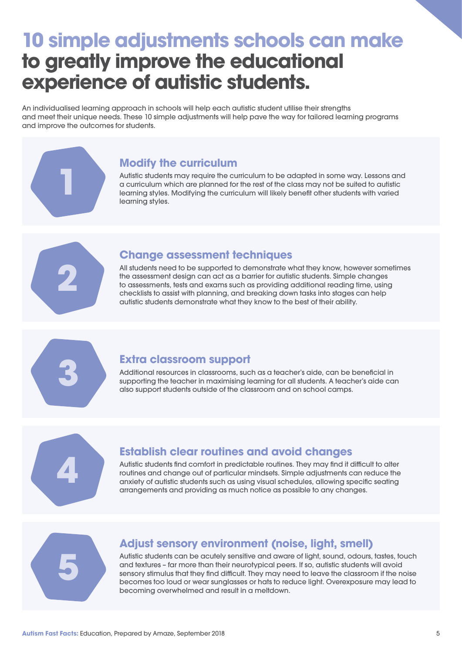# **10 simple adjustments schools can make to greatly improve the educational experience of autistic students.**

An individualised learning approach in schools will help each autistic student utilise their strengths and meet their unique needs. These 10 simple adjustments will help pave the way for tailored learning programs and improve the outcomes for students.



Autistic students may require the curriculum to be adapted in some way. Lessons and a curriculum which are planned for the rest of the class may not be suited to autistic learning styles. Modifying the curriculum will likely benefit other students with varied learning styles.



**1**

#### **Change assessment techniques**

All students need to be supported to demonstrate what they know, however sometimes the assessment design can act as a barrier for autistic students. Simple changes to assessments, tests and exams such as providing additional reading time, using checklists to assist with planning, and breaking down tasks into stages can help autistic students demonstrate what they know to the best of their ability.



#### **Extra classroom support**

Additional resources in classrooms, such as a teacher's aide, can be beneficial in supporting the teacher in maximising learning for all students. A teacher's aide can also support students outside of the classroom and on school camps.



### **Establish clear routines and avoid changes**

Autistic students find comfort in predictable routines. They may find it difficult to alter routines and change out of particular mindsets. Simple adjustments can reduce the anxiety of autistic students such as using visual schedules, allowing specific seating arrangements and providing as much notice as possible to any changes.



# **Adjust sensory environment (noise, light, smell)**

Autistic students can be acutely sensitive and aware of light, sound, odours, tastes, touch and textures – far more than their neurotypical peers. If so, autistic students will avoid sensory stimulus that they find difficult. They may need to leave the classroom if the noise becomes too loud or wear sunglasses or hats to reduce light. Overexposure may lead to becoming overwhelmed and result in a meltdown.